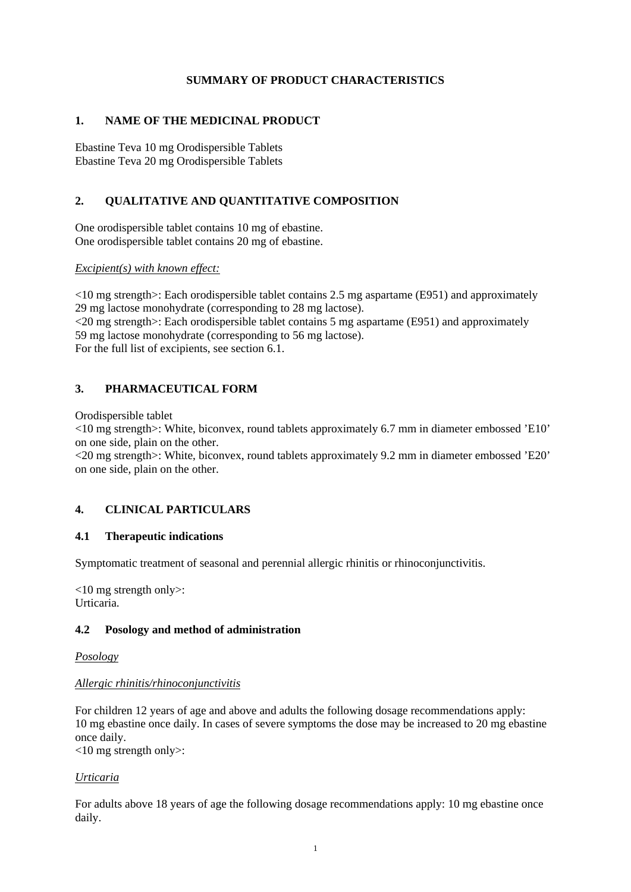# **SUMMARY OF PRODUCT CHARACTERISTICS**

## **1. NAME OF THE MEDICINAL PRODUCT**

Ebastine Teva 10 mg Orodispersible Tablets Ebastine Teva 20 mg Orodispersible Tablets

# **2. QUALITATIVE AND QUANTITATIVE COMPOSITION**

One orodispersible tablet contains 10 mg of ebastine. One orodispersible tablet contains 20 mg of ebastine.

*Excipient(s) with known effect:*

<10 mg strength>: Each orodispersible tablet contains 2.5 mg aspartame (E951) and approximately 29 mg lactose monohydrate (corresponding to 28 mg lactose).

<20 mg strength>: Each orodispersible tablet contains 5 mg aspartame (E951) and approximately 59 mg lactose monohydrate (corresponding to 56 mg lactose). For the full list of excipients, see section 6.1.

# **3. PHARMACEUTICAL FORM**

Orodispersible tablet

<10 mg strength>: White, biconvex, round tablets approximately 6.7 mm in diameter embossed 'E10' on one side, plain on the other.

<20 mg strength>: White, biconvex, round tablets approximately 9.2 mm in diameter embossed 'E20' on one side, plain on the other.

# **4. CLINICAL PARTICULARS**

#### **4.1 Therapeutic indications**

Symptomatic treatment of seasonal and perennial allergic rhinitis or rhinoconjunctivitis.

<10 mg strength only>: Urticaria.

#### **4.2 Posology and method of administration**

*Posology*

#### *Allergic rhinitis/rhinoconjunctivitis*

For children 12 years of age and above and adults the following dosage recommendations apply: 10 mg ebastine once daily. In cases of severe symptoms the dose may be increased to 20 mg ebastine once daily.

 $<10$  mg strength only $>$ :

# *Urticaria*

For adults above 18 years of age the following dosage recommendations apply: 10 mg ebastine once daily.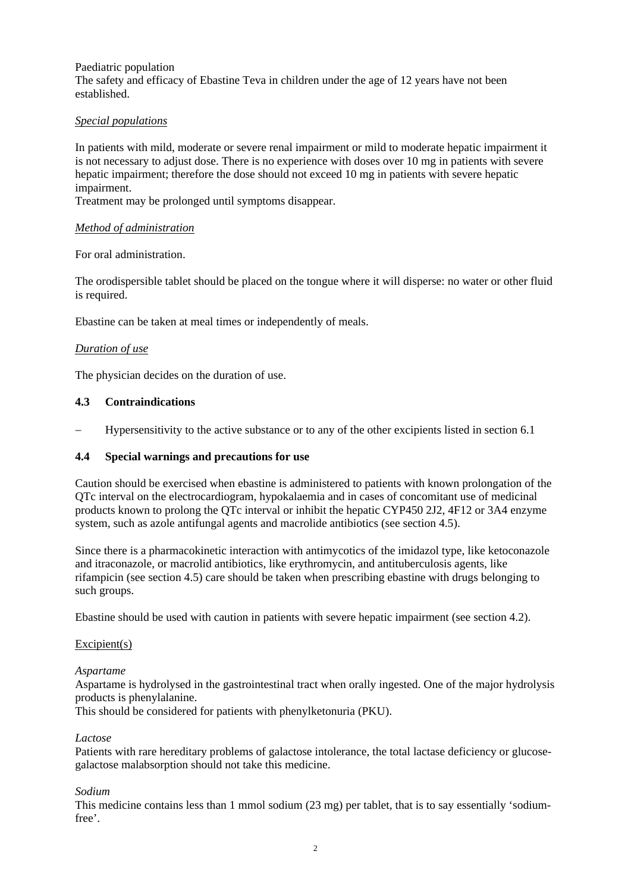#### Paediatric population

The safety and efficacy of Ebastine Teva in children under the age of 12 years have not been established.

## *Special populations*

In patients with mild, moderate or severe renal impairment or mild to moderate hepatic impairment it is not necessary to adjust dose. There is no experience with doses over 10 mg in patients with severe hepatic impairment; therefore the dose should not exceed 10 mg in patients with severe hepatic impairment.

Treatment may be prolonged until symptoms disappear.

#### *Method of administration*

For oral administration.

The orodispersible tablet should be placed on the tongue where it will disperse: no water or other fluid is required.

Ebastine can be taken at meal times or independently of meals.

## *Duration of use*

The physician decides on the duration of use.

## **4.3 Contraindications**

Hypersensitivity to the active substance or to any of the other excipients listed in section 6.1

#### **4.4 Special warnings and precautions for use**

Caution should be exercised when ebastine is administered to patients with known prolongation of the QTc interval on the electrocardiogram, hypokalaemia and in cases of concomitant use of medicinal products known to prolong the QTc interval or inhibit the hepatic CYP450 2J2, 4F12 or 3A4 enzyme system, such as azole antifungal agents and macrolide antibiotics (see section 4.5).

Since there is a pharmacokinetic interaction with antimycotics of the imidazol type, like ketoconazole and itraconazole, or macrolid antibiotics, like erythromycin, and antituberculosis agents, like rifampicin (see section 4.5) care should be taken when prescribing ebastine with drugs belonging to such groups.

Ebastine should be used with caution in patients with severe hepatic impairment (see section 4.2).

#### Excipient $(s)$

#### *Aspartame*

Aspartame is hydrolysed in the gastrointestinal tract when orally ingested. One of the major hydrolysis products is phenylalanine.

This should be considered for patients with phenylketonuria (PKU).

#### *Lactose*

Patients with rare hereditary problems of galactose intolerance, the total lactase deficiency or glucosegalactose malabsorption should not take this medicine.

#### *Sodium*

This medicine contains less than 1 mmol sodium (23 mg) per tablet, that is to say essentially 'sodiumfree'.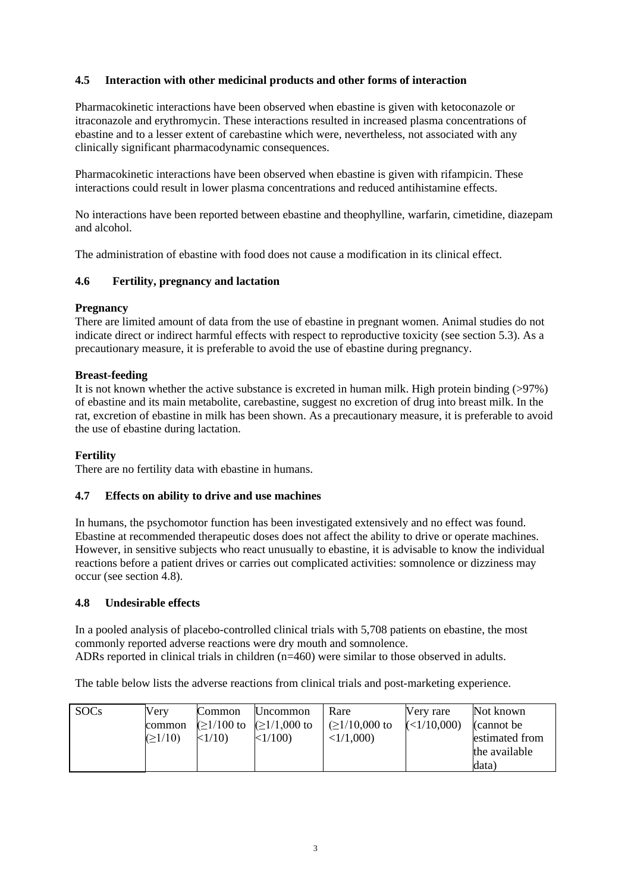# **4.5 Interaction with other medicinal products and other forms of interaction**

Pharmacokinetic interactions have been observed when ebastine is given with ketoconazole or itraconazole and erythromycin. These interactions resulted in increased plasma concentrations of ebastine and to a lesser extent of carebastine which were, nevertheless, not associated with any clinically significant pharmacodynamic consequences.

Pharmacokinetic interactions have been observed when ebastine is given with rifampicin. These interactions could result in lower plasma concentrations and reduced antihistamine effects.

No interactions have been reported between ebastine and theophylline, warfarin, cimetidine, diazepam and alcohol.

The administration of ebastine with food does not cause a modification in its clinical effect.

## **4.6 Fertility, pregnancy and lactation**

## **Pregnancy**

There are limited amount of data from the use of ebastine in pregnant women. Animal studies do not indicate direct or indirect harmful effects with respect to reproductive toxicity (see section 5.3). As a precautionary measure, it is preferable to avoid the use of ebastine during pregnancy.

#### **Breast-feeding**

It is not known whether the active substance is excreted in human milk. High protein binding (>97%) of ebastine and its main metabolite, carebastine, suggest no excretion of drug into breast milk. In the rat, excretion of ebastine in milk has been shown. As a precautionary measure, it is preferable to avoid the use of ebastine during lactation.

# **Fertility**

There are no fertility data with ebastine in humans.

#### **4.7 Effects on ability to drive and use machines**

In humans, the psychomotor function has been investigated extensively and no effect was found. Ebastine at recommended therapeutic doses does not affect the ability to drive or operate machines. However, in sensitive subjects who react unusually to ebastine, it is advisable to know the individual reactions before a patient drives or carries out complicated activities: somnolence or dizziness may occur (see section 4.8).

#### **4.8 Undesirable effects**

In a pooled analysis of placebo-controlled clinical trials with 5,708 patients on ebastine, the most commonly reported adverse reactions were dry mouth and somnolence. ADRs reported in clinical trials in children (n=460) were similar to those observed in adults.

The table below lists the adverse reactions from clinical trials and post-marketing experience.

| <b>SOCs</b><br>Verv<br>common<br>(21/10) | Common<br>$( \geq 1/100$ to<br><1/10 | <b>Uncommon</b><br>$\geq 1/1,000$ to<br> <1/100 | Rare<br>$\leq$ 1/10,000 to<br>$\langle 1/1,000 \rangle$ | Nerv rare<br>$\leq 1/10,000$ | Not known<br>$\alpha$ cannot be<br>estimated from<br>the available<br>ldata) |
|------------------------------------------|--------------------------------------|-------------------------------------------------|---------------------------------------------------------|------------------------------|------------------------------------------------------------------------------|
|------------------------------------------|--------------------------------------|-------------------------------------------------|---------------------------------------------------------|------------------------------|------------------------------------------------------------------------------|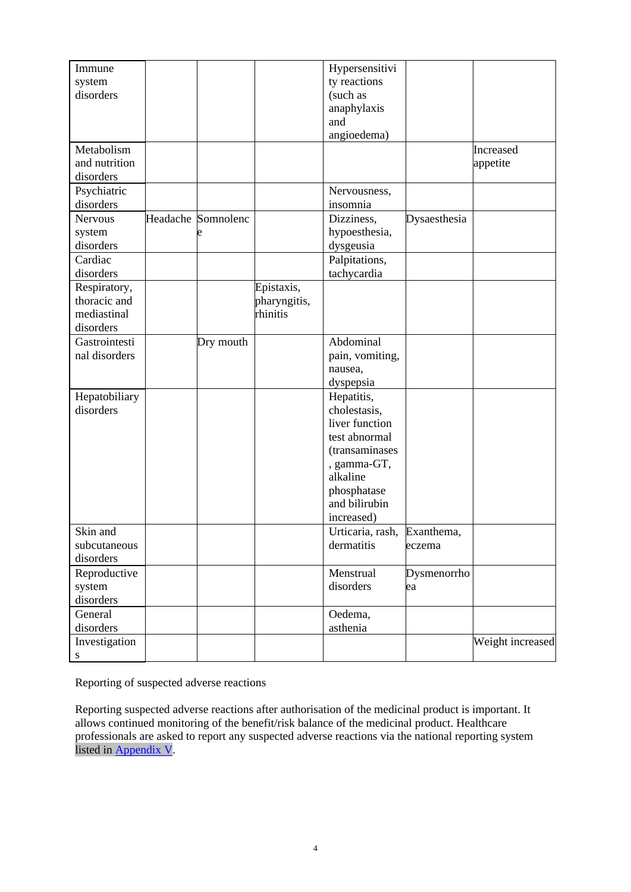| Immune              |                    |              | Hypersensitivi              |              |                  |
|---------------------|--------------------|--------------|-----------------------------|--------------|------------------|
| system              |                    |              | ty reactions                |              |                  |
| disorders           |                    |              | (such as                    |              |                  |
|                     |                    |              | anaphylaxis                 |              |                  |
|                     |                    |              | and                         |              |                  |
|                     |                    |              | angioedema)                 |              |                  |
| Metabolism          |                    |              |                             |              | Increased        |
| and nutrition       |                    |              |                             |              | appetite         |
| disorders           |                    |              |                             |              |                  |
| Psychiatric         |                    |              | Nervousness,                |              |                  |
| disorders           |                    |              | insomnia                    |              |                  |
| <b>Nervous</b>      | Headache Somnolenc |              | Dizziness,                  | Dysaesthesia |                  |
|                     |                    |              | hypoesthesia,               |              |                  |
| system<br>disorders |                    |              | dysgeusia                   |              |                  |
| Cardiac             |                    |              |                             |              |                  |
|                     |                    |              | Palpitations,               |              |                  |
| disorders           |                    |              | tachycardia                 |              |                  |
| Respiratory,        |                    | Epistaxis,   |                             |              |                  |
| thoracic and        |                    | pharyngitis, |                             |              |                  |
| mediastinal         |                    | rhinitis     |                             |              |                  |
| disorders           |                    |              |                             |              |                  |
| Gastrointesti       | Dry mouth          |              | Abdominal                   |              |                  |
| nal disorders       |                    |              | pain, vomiting,             |              |                  |
|                     |                    |              | nausea,                     |              |                  |
|                     |                    |              | dyspepsia                   |              |                  |
| Hepatobiliary       |                    |              | Hepatitis,                  |              |                  |
| disorders           |                    |              | cholestasis,                |              |                  |
|                     |                    |              | liver function              |              |                  |
|                     |                    |              | test abnormal               |              |                  |
|                     |                    |              | (transaminases              |              |                  |
|                     |                    |              | , gamma-GT,                 |              |                  |
|                     |                    |              | alkaline                    |              |                  |
|                     |                    |              | phosphatase                 |              |                  |
|                     |                    |              | and bilirubin               |              |                  |
|                     |                    |              | increased)                  |              |                  |
| Skin and            |                    |              | Urticaria, rash, Exanthema, |              |                  |
| subcutaneous        |                    |              | dermatitis                  | eczema       |                  |
| disorders           |                    |              |                             |              |                  |
| Reproductive        |                    |              | Menstrual                   | Dysmenorrho  |                  |
| system              |                    |              | disorders                   | ea           |                  |
| disorders           |                    |              |                             |              |                  |
| General             |                    |              | Oedema,                     |              |                  |
| disorders           |                    |              | asthenia                    |              |                  |
| Investigation       |                    |              |                             |              | Weight increased |
| S                   |                    |              |                             |              |                  |

Reporting of suspected adverse reactions

Reporting suspected adverse reactions after authorisation of the medicinal product is important. It allows continued monitoring of the benefit/risk balance of the medicinal product. Healthcare professionals are asked to report any suspected adverse reactions via the national reporting system listed in [Appendix V.](http://www.ema.europa.eu/docs/en_GB/document_library/Template_or_form/2013/03/WC500139752.doc)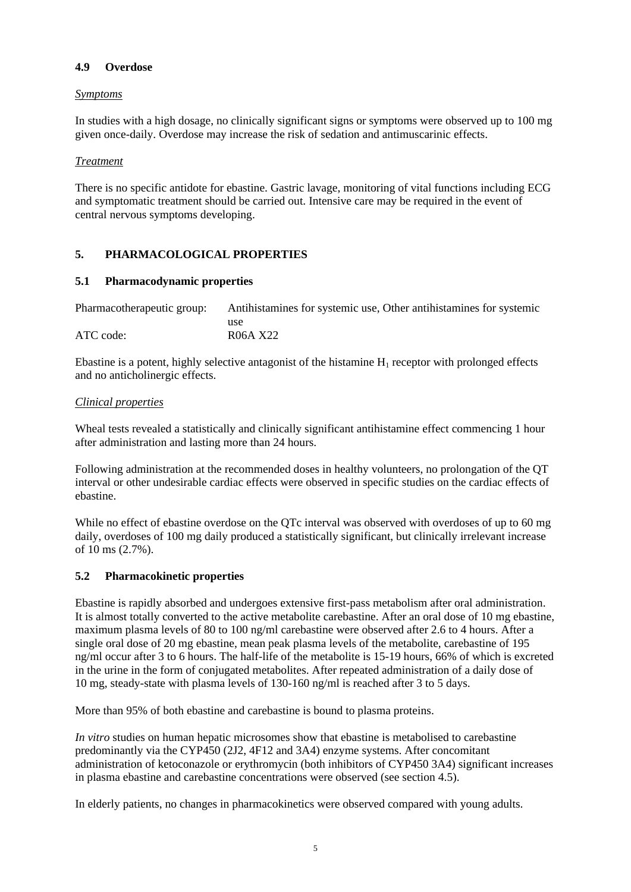# **4.9 Overdose**

#### *Symptoms*

In studies with a high dosage, no clinically significant signs or symptoms were observed up to 100 mg given once-daily. Overdose may increase the risk of sedation and antimuscarinic effects.

## *Treatment*

There is no specific antidote for ebastine. Gastric lavage, monitoring of vital functions including ECG and symptomatic treatment should be carried out. Intensive care may be required in the event of central nervous symptoms developing.

# **5. PHARMACOLOGICAL PROPERTIES**

## **5.1 Pharmacodynamic properties**

| Pharmacotherapeutic group: | Antihistamines for systemic use, Other antihistamines for systemic |  |  |  |
|----------------------------|--------------------------------------------------------------------|--|--|--|
|                            | use                                                                |  |  |  |
| ATC code:                  | R06A X22                                                           |  |  |  |

Ebastine is a potent, highly selective antagonist of the histamine  $H_1$  receptor with prolonged effects and no anticholinergic effects.

## *Clinical properties*

Wheal tests revealed a statistically and clinically significant antihistamine effect commencing 1 hour after administration and lasting more than 24 hours.

Following administration at the recommended doses in healthy volunteers, no prolongation of the QT interval or other undesirable cardiac effects were observed in specific studies on the cardiac effects of ebastine.

While no effect of ebastine overdose on the QTc interval was observed with overdoses of up to 60 mg daily, overdoses of 100 mg daily produced a statistically significant, but clinically irrelevant increase of 10 ms (2.7%).

#### **5.2 Pharmacokinetic properties**

Ebastine is rapidly absorbed and undergoes extensive first-pass metabolism after oral administration. It is almost totally converted to the active metabolite carebastine. After an oral dose of 10 mg ebastine, maximum plasma levels of 80 to 100 ng/ml carebastine were observed after 2.6 to 4 hours. After a single oral dose of 20 mg ebastine, mean peak plasma levels of the metabolite, carebastine of 195 ng/ml occur after 3 to 6 hours. The half-life of the metabolite is 15-19 hours, 66% of which is excreted in the urine in the form of conjugated metabolites. After repeated administration of a daily dose of 10 mg, steady-state with plasma levels of 130-160 ng/ml is reached after 3 to 5 days.

More than 95% of both ebastine and carebastine is bound to plasma proteins.

*In vitro* studies on human hepatic microsomes show that ebastine is metabolised to carebastine predominantly via the CYP450 (2J2, 4F12 and 3A4) enzyme systems. After concomitant administration of ketoconazole or erythromycin (both inhibitors of CYP450 3A4) significant increases in plasma ebastine and carebastine concentrations were observed (see section 4.5).

In elderly patients, no changes in pharmacokinetics were observed compared with young adults.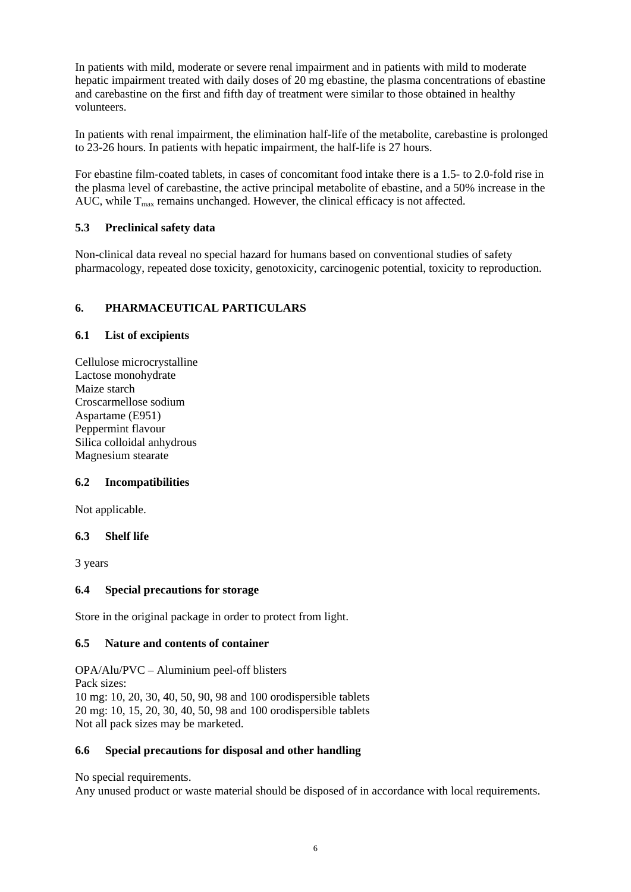In patients with mild, moderate or severe renal impairment and in patients with mild to moderate hepatic impairment treated with daily doses of 20 mg ebastine, the plasma concentrations of ebastine and carebastine on the first and fifth day of treatment were similar to those obtained in healthy volunteers.

In patients with renal impairment, the elimination half-life of the metabolite, carebastine is prolonged to 23-26 hours. In patients with hepatic impairment, the half-life is 27 hours.

For ebastine film-coated tablets, in cases of concomitant food intake there is a 1.5- to 2.0-fold rise in the plasma level of carebastine, the active principal metabolite of ebastine, and a 50% increase in the AUC, while  $T_{\text{max}}$  remains unchanged. However, the clinical efficacy is not affected.

# **5.3 Preclinical safety data**

Non-clinical data reveal no special hazard for humans based on conventional studies of safety pharmacology, repeated dose toxicity, genotoxicity, carcinogenic potential, toxicity to reproduction.

# **6. PHARMACEUTICAL PARTICULARS**

## **6.1 List of excipients**

Cellulose microcrystalline Lactose monohydrate Maize starch Croscarmellose sodium Aspartame (E951) Peppermint flavour Silica colloidal anhydrous Magnesium stearate

# **6.2 Incompatibilities**

Not applicable.

#### **6.3 Shelf life**

3 years

#### **6.4 Special precautions for storage**

Store in the original package in order to protect from light.

#### **6.5 Nature and contents of container**

OPA/Alu/PVC – Aluminium peel-off blisters Pack sizes: 10 mg: 10, 20, 30, 40, 50, 90, 98 and 100 orodispersible tablets 20 mg: 10, 15, 20, 30, 40, 50, 98 and 100 orodispersible tablets Not all pack sizes may be marketed.

#### **6.6 Special precautions for disposal and other handling**

No special requirements.

Any unused product or waste material should be disposed of in accordance with local requirements.